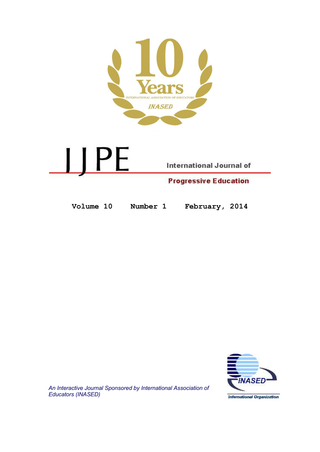



Volume 10 Number 1 February, 2014



An Interactive Journal Sponsored by International Association of Educators (INASED)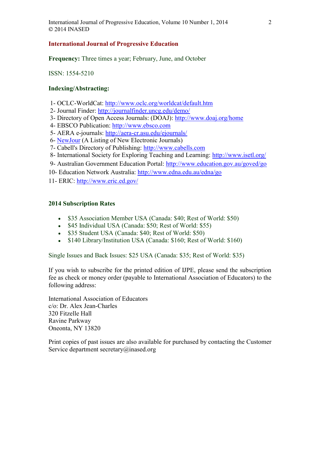# International Journal of Progressive Education

Frequency: Three times a year; February, June, and October

ISSN: 1554-5210

# Indexing/Abstracting:

- 1- OCLC-WorldCat: http://www.oclc.org/worldcat/default.htm
- 2- Journal Finder: http://journalfinder.uncg.edu/demo/
- 3- Directory of Open Access Journals: (DOAJ): http://www.doaj.org/home
- 4- EBSCO Publication: http://www.ebsco.com
- 5- AERA e-journals: http://aera-cr.asu.edu/ejournals/
- 6- NewJour (A Listing of New Electronic Journals)
- 7- Cabell's Directory of Publishing: http://www.cabells.com
- 8- International Society for Exploring Teaching and Learning: http://www.isetl.org/
- 9- Australian Government Education Portal: http://www.education.gov.au/goved/go
- 10- Education Network Australia: http://www.edna.edu.au/edna/go
- 11- ERIC: http://www.eric.ed.gov/

# 2014 Subscription Rates

- \$35 Association Member USA (Canada: \$40; Rest of World: \$50)
- \$45 Individual USA (Canada: \$50; Rest of World: \$55)
- \$35 Student USA (Canada: \$40; Rest of World: \$50)
- \$140 Library/Institution USA (Canada: \$160; Rest of World: \$160)

Single Issues and Back Issues: \$25 USA (Canada: \$35; Rest of World: \$35)

If you wish to subscribe for the printed edition of IJPE, please send the subscription fee as check or money order (payable to International Association of Educators) to the following address:

International Association of Educators c/o: Dr. Alex Jean-Charles 320 Fitzelle Hall Ravine Parkway Oneonta, NY 13820

Print copies of past issues are also available for purchased by contacting the Customer Service department secretary@inased.org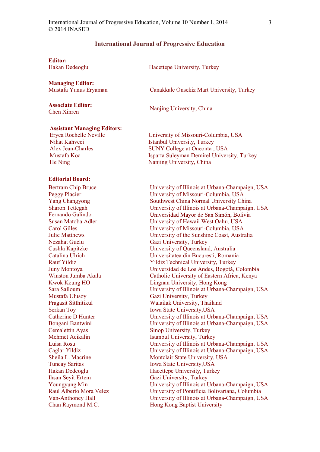#### International Journal of Progressive Education

Editor: Hakan Dedeoglu Hacettepe University, Turkey

# Managing Editor:

Assistant Managing Editors: Eryca Rochelle Neville

Associate Editor:

Nihat Kahveci Alex Jean-Charles Mustafa Koc He Ning

Mustafa Yunus Eryaman Canakkale Onsekiz Mart University, Turkey

Associate Euror.<br>
Chen Xinren Nanjing University, China

University of Missouri-Columbia, USA Istanbul University, Turkey SUNY College at Oneonta , USA Isparta Suleyman Demirel University, Turkey Nanjing University, China

#### Editorial Board:

Bertram Chip Bruce Peggy Placier Yang Changyong Sharon Tettegah Fernando Galindo Susan Matoba Adler Carol Gilles Julie Matthews Nezahat Guclu Cushla Kapitzke Catalina Ulrich Rauf Yildiz Juny Montoya Winston Jumba Akala Kwok Keung HO Sara Salloum Mustafa Ulusoy Pragasit Sitthitikul Serkan Toy Catherine D Hunter Bongani Bantwini Cemalettin Ayas Mehmet Acikalin Luisa Rosu Caglar Yildiz Sheila L. Macrine Tuncay Saritas Hakan Dedeoglu Ihsan Seyit Ertem Youngyung Min Raul Alberto Mora Velez Van-Anthoney Hall Chan Raymond M.C.

University of Illinois at Urbana-Champaign, USA University of Missouri-Columbia, USA Southwest China Normal University China University of Illinois at Urbana-Champaign, USA Universidad Mayor de San Simón, Bolivia University of Hawaii West Oahu, USA University of Missouri-Columbia, USA University of the Sunshine Coast, Australia Gazi University, Turkey University of Queensland, Australia Universitatea din Bucuresti, Romania Yildiz Technical University, Turkey Universidad de Los Andes, Bogotá, Colombia Catholic University of Eastern Africa, Kenya Lingnan University, Hong Kong University of Illinois at Urbana-Champaign, USA Gazi University, Turkey Walailak University, Thailand Iowa State University,USA University of Illinois at Urbana-Champaign, USA University of Illinois at Urbana-Champaign, USA Sinop University, Turkey Istanbul University, Turkey University of Illinois at Urbana-Champaign, USA University of Illinois at Urbana-Champaign, USA Montclair State University, USA Iowa State University,USA Hacettepe University, Turkey Gazi University, Turkey University of Illinois at Urbana-Champaign, USA University of Pontificia Bolivariana, Columbia University of Illinois at Urbana-Champaign, USA Hong Kong Baptist University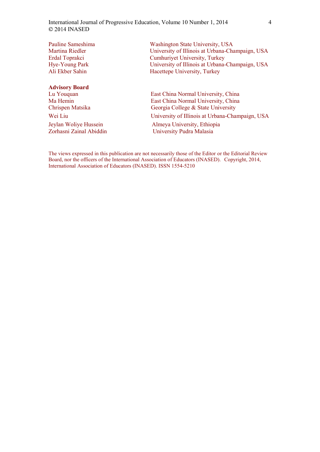| Pauline Sameshima     | Washington State University, USA                |
|-----------------------|-------------------------------------------------|
| Martina Riedler       | University of Illinois at Urbana-Champaign, USA |
| Erdal Toprakci        | <b>Cumhuriyet University, Turkey</b>            |
| Hye-Young Park        | University of Illinois at Urbana-Champaign, USA |
| Ali Ekber Sahin       | Hacettepe University, Turkey                    |
|                       |                                                 |
| <b>Advisory Board</b> |                                                 |
| Lu Youquan            | East China Normal University, China             |
| Ma Hemin              | East China Normal University, China             |
| Chrispen Matsika      | Georgia College & State University              |
| Wei Liu               | University of Illinois at Urbana-Champaign, USA |
| Jeylan Woliye Hussein | Almeya University, Ethiopia                     |

Zorhasni Zainal Abiddin University Pudra Malasia

The views expressed in this publication are not necessarily those of the Editor or the Editorial Review Board, nor the officers of the International Association of Educators (INASED). Copyright, 2014, International Association of Educators (INASED). ISSN 1554-5210